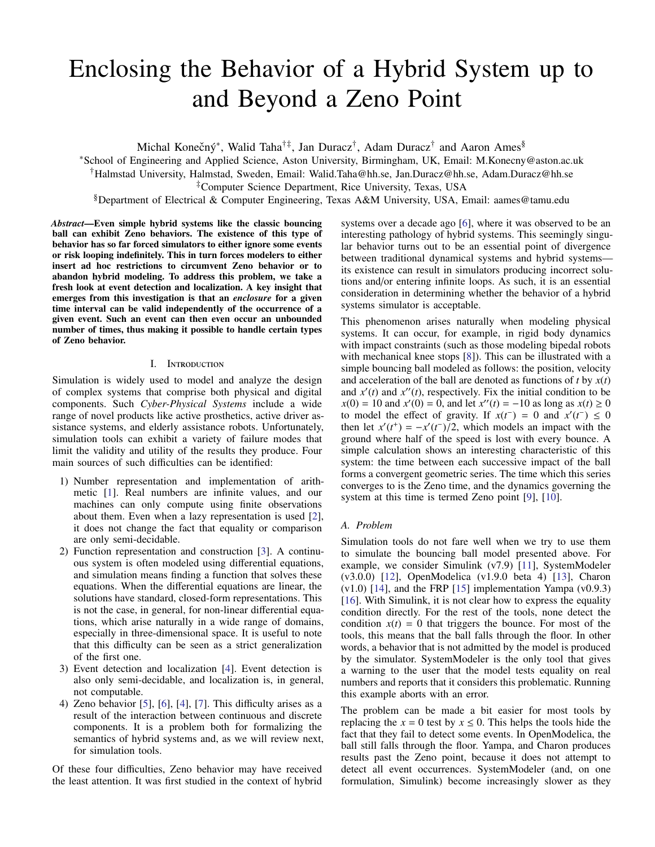# Enclosing the Behavior of a Hybrid System up to and Beyond a Zeno Point

Michal Konečný\*, Walid Taha<sup>†‡</sup>, Jan Duracz<sup>†</sup>, Adam Duracz<sup>†</sup> and Aaron Ames<sup>§</sup>

<sup>∗</sup>School of Engineering and Applied Science, Aston University, Birmingham, UK, Email: M.Konecny@aston.ac.uk

†Halmstad University, Halmstad, Sweden, Email: Walid.Taha@hh.se, Jan.Duracz@hh.se, Adam.Duracz@hh.se

‡Computer Science Department, Rice University, Texas, USA

§Department of Electrical & Computer Engineering, Texas A&M University, USA, Email: aames@tamu.edu

*Abstract*—Even simple hybrid systems like the classic bouncing ball can exhibit Zeno behaviors. The existence of this type of behavior has so far forced simulators to either ignore some events or risk looping indefinitely. This in turn forces modelers to either insert ad hoc restrictions to circumvent Zeno behavior or to abandon hybrid modeling. To address this problem, we take a fresh look at event detection and localization. A key insight that emerges from this investigation is that an *enclosure* for a given time interval can be valid independently of the occurrence of a given event. Such an event can then even occur an unbounded number of times, thus making it possible to handle certain types of Zeno behavior.

## I. Introduction

Simulation is widely used to model and analyze the design of complex systems that comprise both physical and digital components. Such *Cyber-Physical Systems* include a wide range of novel products like active prosthetics, active driver assistance systems, and elderly assistance robots. Unfortunately, simulation tools can exhibit a variety of failure modes that limit the validity and utility of the results they produce. Four main sources of such difficulties can be identified:

- 1) Number representation and implementation of arithmetic [\[1\]](#page-5-0). Real numbers are infinite values, and our machines can only compute using finite observations about them. Even when a lazy representation is used [\[2\]](#page-5-1), it does not change the fact that equality or comparison are only semi-decidable.
- 2) Function representation and construction [\[3\]](#page-5-2). A continuous system is often modeled using differential equations, and simulation means finding a function that solves these equations. When the differential equations are linear, the solutions have standard, closed-form representations. This is not the case, in general, for non-linear differential equations, which arise naturally in a wide range of domains, especially in three-dimensional space. It is useful to note that this difficulty can be seen as a strict generalization of the first one.
- 3) Event detection and localization [\[4\]](#page-5-3). Event detection is also only semi-decidable, and localization is, in general, not computable.
- 4) Zeno behavior  $[5]$ ,  $[6]$ ,  $[4]$ ,  $[7]$ . This difficulty arises as a result of the interaction between continuous and discrete components. It is a problem both for formalizing the semantics of hybrid systems and, as we will review next, for simulation tools.

Of these four difficulties, Zeno behavior may have received the least attention. It was first studied in the context of hybrid systems over a decade ago [\[6\]](#page-5-5), where it was observed to be an interesting pathology of hybrid systems. This seemingly singular behavior turns out to be an essential point of divergence between traditional dynamical systems and hybrid systems its existence can result in simulators producing incorrect solutions and/or entering infinite loops. As such, it is an essential consideration in determining whether the behavior of a hybrid systems simulator is acceptable.

This phenomenon arises naturally when modeling physical systems. It can occur, for example, in rigid body dynamics with impact constraints (such as those modeling bipedal robots with mechanical knee stops [\[8\]](#page-5-7)). This can be illustrated with a simple bouncing ball modeled as follows: the position, velocity and acceleration of the ball are denoted as functions of *t* by *x*(*t*) and  $x'(t)$  and  $x''(t)$ , respectively. Fix the initial condition to be  $x(0) = 10$  and  $x'(0) = 0$ , and let  $x''(t) = -10$  as long as  $x(t) \ge 0$ to model the effect of gravity. If  $x(t^-) = 0$  and  $x'(t^-) \le 0$ then let  $x'(t^+) = -x'(t^-)/2$ , which models an impact with the ground where half of the speed is lost with every bounce. ground where half of the speed is lost with every bounce. A simple calculation shows an interesting characteristic of this system: the time between each successive impact of the ball forms a convergent geometric series. The time which this series converges to is the Zeno time, and the dynamics governing the system at this time is termed Zeno point [\[9\]](#page-5-8), [\[10\]](#page-5-9).

## *A. Problem*

Simulation tools do not fare well when we try to use them to simulate the bouncing ball model presented above. For example, we consider Simulink (v7.9) [\[11\]](#page-5-10), SystemModeler (v3.0.0) [\[12\]](#page-5-11), OpenModelica (v1.9.0 beta 4) [\[13\]](#page-5-12), Charon  $(v1.0)$  [\[14\]](#page-5-13), and the FRP [\[15\]](#page-5-14) implementation Yampa  $(v0.9.3)$ [\[16\]](#page-5-15). With Simulink, it is not clear how to express the equality condition directly. For the rest of the tools, none detect the condition  $x(t) = 0$  that triggers the bounce. For most of the tools, this means that the ball falls through the floor. In other words, a behavior that is not admitted by the model is produced by the simulator. SystemModeler is the only tool that gives a warning to the user that the model tests equality on real numbers and reports that it considers this problematic. Running this example aborts with an error.

The problem can be made a bit easier for most tools by replacing the  $x = 0$  test by  $x \le 0$ . This helps the tools hide the fact that they fail to detect some events. In OpenModelica, the ball still falls through the floor. Yampa, and Charon produces results past the Zeno point, because it does not attempt to detect all event occurrences. SystemModeler (and, on one formulation, Simulink) become increasingly slower as they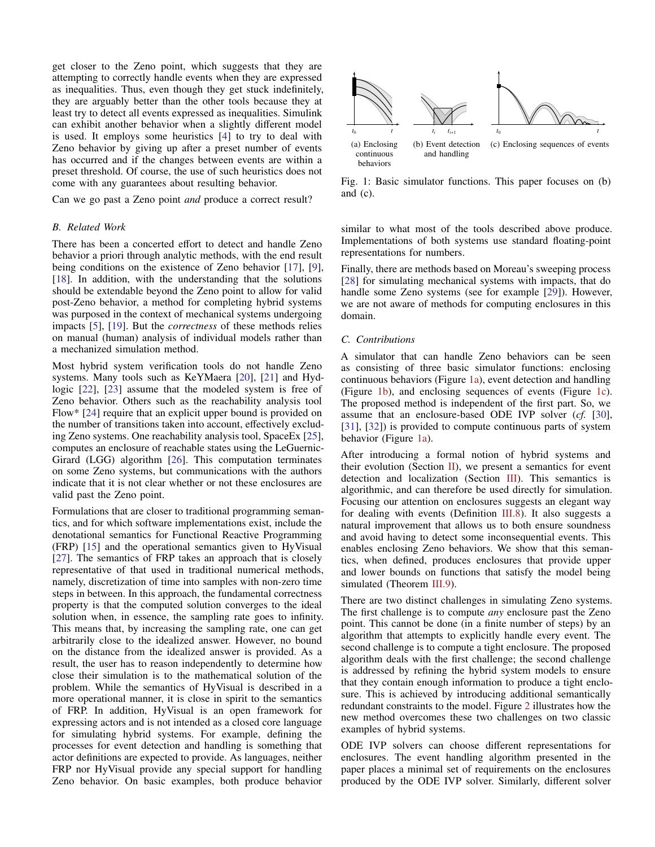get closer to the Zeno point, which suggests that they are attempting to correctly handle events when they are expressed as inequalities. Thus, even though they get stuck indefinitely, they are arguably better than the other tools because they at least try to detect all events expressed as inequalities. Simulink can exhibit another behavior when a slightly different model is used. It employs some heuristics [\[4\]](#page-5-3) to try to deal with Zeno behavior by giving up after a preset number of events has occurred and if the changes between events are within a preset threshold. Of course, the use of such heuristics does not come with any guarantees about resulting behavior.

Can we go past a Zeno point *and* produce a correct result?

## *B. Related Work*

There has been a concerted effort to detect and handle Zeno behavior a priori through analytic methods, with the end result being conditions on the existence of Zeno behavior [\[17\]](#page-5-16), [\[9\]](#page-5-8), [\[18\]](#page-5-17). In addition, with the understanding that the solutions should be extendable beyond the Zeno point to allow for valid post-Zeno behavior, a method for completing hybrid systems was purposed in the context of mechanical systems undergoing impacts [\[5\]](#page-5-4), [\[19\]](#page-5-18). But the *correctness* of these methods relies on manual (human) analysis of individual models rather than a mechanized simulation method.

Most hybrid system verification tools do not handle Zeno systems. Many tools such as KeYMaera [\[20\]](#page-5-19), [\[21\]](#page-5-20) and Hydlogic [\[22\]](#page-5-21), [\[23\]](#page-5-22) assume that the modeled system is free of Zeno behavior. Others such as the reachability analysis tool Flow\* [\[24\]](#page-5-23) require that an explicit upper bound is provided on the number of transitions taken into account, effectively excluding Zeno systems. One reachability analysis tool, SpaceEx [\[25\]](#page-5-24), computes an enclosure of reachable states using the LeGuernic-Girard (LGG) algorithm [\[26\]](#page-5-25). This computation terminates on some Zeno systems, but communications with the authors indicate that it is not clear whether or not these enclosures are valid past the Zeno point.

Formulations that are closer to traditional programming semantics, and for which software implementations exist, include the denotational semantics for Functional Reactive Programming (FRP) [\[15\]](#page-5-14) and the operational semantics given to HyVisual [\[27\]](#page-5-26). The semantics of FRP takes an approach that is closely representative of that used in traditional numerical methods, namely, discretization of time into samples with non-zero time steps in between. In this approach, the fundamental correctness property is that the computed solution converges to the ideal solution when, in essence, the sampling rate goes to infinity. This means that, by increasing the sampling rate, one can get arbitrarily close to the idealized answer. However, no bound on the distance from the idealized answer is provided. As a result, the user has to reason independently to determine how close their simulation is to the mathematical solution of the problem. While the semantics of HyVisual is described in a more operational manner, it is close in spirit to the semantics of FRP. In addition, HyVisual is an open framework for expressing actors and is not intended as a closed core language for simulating hybrid systems. For example, defining the processes for event detection and handling is something that actor definitions are expected to provide. As languages, neither FRP nor HyVisual provide any special support for handling Zeno behavior. On basic examples, both produce behavior

<span id="page-1-0"></span>

<span id="page-1-2"></span><span id="page-1-1"></span>Fig. 1: Basic simulator functions. This paper focuses on (b) and (c).

similar to what most of the tools described above produce. Implementations of both systems use standard floating-point representations for numbers.

Finally, there are methods based on Moreau's sweeping process [\[28\]](#page-5-27) for simulating mechanical systems with impacts, that do handle some Zeno systems (see for example [\[29\]](#page-5-28)). However, we are not aware of methods for computing enclosures in this domain.

## <span id="page-1-3"></span>*C. Contributions*

A simulator that can handle Zeno behaviors can be seen as consisting of three basic simulator functions: enclosing continuous behaviors (Figure [1a\)](#page-1-0), event detection and handling (Figure [1b\)](#page-1-1), and enclosing sequences of events (Figure [1c\)](#page-1-2). The proposed method is independent of the first part. So, we assume that an enclosure-based ODE IVP solver (*cf.* [\[30\]](#page-5-29), [\[31\]](#page-5-30), [\[32\]](#page-5-31)) is provided to compute continuous parts of system behavior (Figure [1a\)](#page-1-0).

After introducing a formal notion of hybrid systems and their evolution (Section [II\)](#page-2-0), we present a semantics for event detection and localization (Section [III\)](#page-2-1). This semantics is algorithmic, and can therefore be used directly for simulation. Focusing our attention on enclosures suggests an elegant way for dealing with events (Definition [III.8\)](#page-4-0). It also suggests a natural improvement that allows us to both ensure soundness and avoid having to detect some inconsequential events. This enables enclosing Zeno behaviors. We show that this semantics, when defined, produces enclosures that provide upper and lower bounds on functions that satisfy the model being simulated (Theorem [III.9\)](#page-5-32).

There are two distinct challenges in simulating Zeno systems. The first challenge is to compute *any* enclosure past the Zeno point. This cannot be done (in a finite number of steps) by an algorithm that attempts to explicitly handle every event. The second challenge is to compute a tight enclosure. The proposed algorithm deals with the first challenge; the second challenge is addressed by refining the hybrid system models to ensure that they contain enough information to produce a tight enclosure. This is achieved by introducing additional semantically redundant constraints to the model. Figure [2](#page-2-2) illustrates how the new method overcomes these two challenges on two classic examples of hybrid systems.

ODE IVP solvers can choose different representations for enclosures. The event handling algorithm presented in the paper places a minimal set of requirements on the enclosures produced by the ODE IVP solver. Similarly, different solver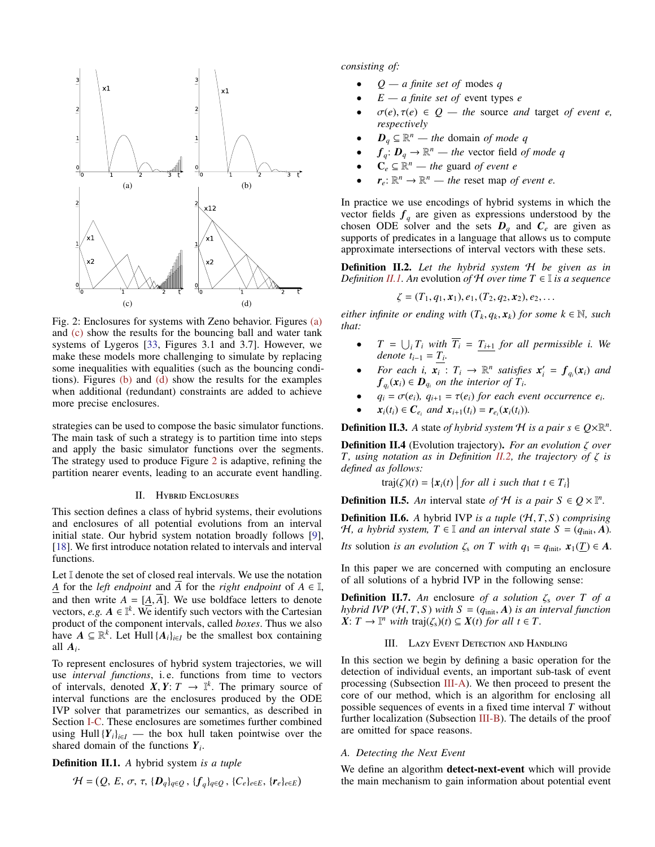<span id="page-2-4"></span><span id="page-2-3"></span><span id="page-2-2"></span>

<span id="page-2-6"></span>Fig. 2: Enclosures for systems with Zeno behavior. Figures [\(a\)](#page-2-3) and [\(c\)](#page-2-4) show the results for the bouncing ball and water tank systems of Lygeros [\[33,](#page-5-33) Figures 3.1 and 3.7]. However, we make these models more challenging to simulate by replacing some inequalities with equalities (such as the bouncing conditions). Figures [\(b\)](#page-2-5) and [\(d\)](#page-2-6) show the results for the examples when additional (redundant) constraints are added to achieve more precise enclosures.

strategies can be used to compose the basic simulator functions. The main task of such a strategy is to partition time into steps and apply the basic simulator functions over the segments. The strategy used to produce Figure [2](#page-2-2) is adaptive, refining the partition nearer events, leading to an accurate event handling.

## II. Hybrid Enclosures

<span id="page-2-0"></span>This section defines a class of hybrid systems, their evolutions and enclosures of all potential evolutions from an interval initial state. Our hybrid system notation broadly follows [\[9\]](#page-5-8), [\[18\]](#page-5-17). We first introduce notation related to intervals and interval functions.

Let I denote the set of closed real intervals. We use the notation *A* for the *left endpoint* and  $\overline{A}$  for the *right endpoint* of  $A \in \mathbb{I}$ , and then write  $A = [A, \overline{A}]$ . We use boldface letters to denote vectors, *e.g.*  $A \in \mathbb{I}^k$ . We identify such vectors with the Cartesian product of the component intervals, called *boxes*. Thus we also have  $A \subseteq \mathbb{R}^k$ . Let Hull  $\{A_i\}_{i \in I}$  be the smallest box containing all *A<sup>i</sup>* .

To represent enclosures of hybrid system trajectories, we will use *interval functions*, i. e. functions from time to vectors of intervals, denoted  $\hat{X}, \hat{Y}: T \to \mathbb{I}^k$ . The primary source of interval functions are the enclosures produced by the ODF interval functions are the enclosures produced by the ODE IVP solver that parametrizes our semantics, as described in Section [I-C.](#page-1-3) These enclosures are sometimes further combined using Hull  ${Y_i}_{i \in I}$  — the box hull taken pointwise over the shared domain of the functions *Y<sup>i</sup>* .

<span id="page-2-7"></span>Definition II.1. *A* hybrid system *is a tuple*

$$
\mathcal{H} = (Q, E, \sigma, \tau, \{D_q\}_{q \in Q}, \{f_q\}_{q \in Q}, \{C_e\}_{e \in E}, \{r_e\}_{e \in E})
$$

*consisting of:*

- *Q a finite set of* modes *q*
- *E a finite set of* event types *e*
- $\sigma(e), \tau(e) \in Q$  the source *and* target *of event e*, *respectively*
- $D_q \subseteq \mathbb{R}^n$  the domain *of mode q*
- $f_q: D_q \to \mathbb{R}^n$  the vector field *of mode q*
- $\mathbf{C}_e \subseteq \mathbb{R}^n$  the guard *of event e*
- $r_e: \mathbb{R}^n \to \mathbb{R}^n$  the reset map *of event e.*

<span id="page-2-5"></span>In practice we use encodings of hybrid systems in which the vector fields  $f_q$  are given as expressions understood by the chosen ODE solver and the sets  $D_q$  and  $C_e$  are given as supports of predicates in a language that allows us to compute approximate intersections of interval vectors with these sets.

<span id="page-2-8"></span>Definition II.2. *Let the hybrid system* H *be given as in Definition [II.1.](#page-2-7)* An evolution *of*  $H$  *over time*  $T \in \mathbb{I}$  *is a sequence* 

$$
\zeta = (T_1, q_1, x_1), e_1, (T_2, q_2, x_2), e_2, \ldots
$$

*either infinite or ending with*  $(T_k, q_k, x_k)$  *for some*  $k \in \mathbb{N}$ *, such that:*

- $T = \bigcup_i T_i$  *with*  $T_i = T_{i+1}$  *for all permissible i. We denote*  $t_{i-1} = T_i$ .
- *For each i,*  $\mathbf{x}_i : T_i \to \mathbb{R}^n$  *satisfies*  $\mathbf{x}'_i = \mathbf{f}_{q_i}(\mathbf{x}_i)$  *and*  $f_{q_i}(x_i) \in D_{q_i}$  on the interior of  $T_i$ .
- $q_i = \sigma(e_i)$ ,  $q_{i+1} = \tau(e_i)$  for each event occurrence  $e_i$ .
- $x_i(t_i) \in C_{e_i}$  and  $x_{i+1}(t_i) = r_{e_i}(x_i(t_i))$ .

**Definition II.3.** A state of hybrid system  $H$  is a pair  $s \in Q \times \mathbb{R}^n$ .

Definition II.4 (Evolution trajectory). *For an evolution* ζ *over T, using notation as in Definition [II.2,](#page-2-8) the trajectory of* ζ *is defined as follows:*

$$
traj(\zeta)(t) = \{x_i(t) \mid \text{for all } i \text{ such that } t \in T_i\}
$$

**Definition II.5.** An interval state of H is a pair  $S \in Q \times \mathbb{I}^n$ .

**Definition II.6.** A hybrid IVP is a tuple  $(H, T, S)$  comprising *H*, a hybrid system,  $T \in \mathbb{I}$  and an interval state  $S = (q_{\text{init}}, A)$ . *Its* solution *is an evolution*  $\zeta_s$  *on T* with  $q_1 = q_{\text{init}}$ ,  $\mathbf{x}_1(\mathbf{T}) \in A$ .

In this paper we are concerned with computing an enclosure of all solutions of a hybrid IVP in the following sense:

**Definition II.7.** An enclosure of a solution  $\zeta_s$  over T of a *hybrid IVP*  $(\mathcal{H}, T, S)$  *with*  $S = (q_{\text{init}}, A)$  *is an interval function*  $\hat{X}: T \to \mathbb{I}^n$  *with* traj( $\zeta_s$ )(*t*)  $\subseteq X(t)$  *for all t*  $\in T$ .

## III. Lazy Event Detection and Handling

<span id="page-2-1"></span>In this section we begin by defining a basic operation for the detection of individual events, an important sub-task of event processing (Subsection [III-A\)](#page-2-9). We then proceed to present the core of our method, which is an algorithm for enclosing all possible sequences of events in a fixed time interval *T* without further localization (Subsection [III-B\)](#page-3-0). The details of the proof are omitted for space reasons.

#### <span id="page-2-9"></span>*A. Detecting the Next Event*

We define an algorithm detect-next-event which will provide the main mechanism to gain information about potential event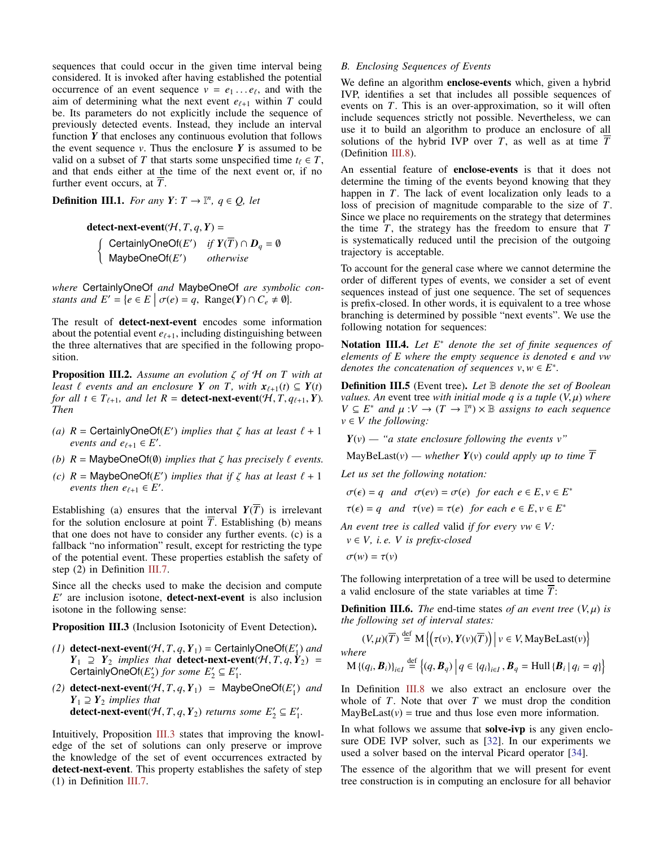sequences that could occur in the given time interval being considered. It is invoked after having established the potential occurrence of an event sequence  $v = e_1 \dots e_\ell$ , and with the aim of determining what the next event  $e_{\ell+1}$  within T could aim of determining what the next event  $e_{\ell+1}$  within *T* could be. Its parameters do not explicitly include the sequence of previously detected events. Instead, they include an interval function *Y* that encloses any continuous evolution that follows the event sequence  $v$ . Thus the enclosure  $Y$  is assumed to be valid on a subset of *T* that starts some unspecified time  $t_\ell \in T$ , and that ends either at the time of the next event or, if no further event occurs, at *T*.

**Definition III.1.** *For any*  $Y: T \rightarrow \mathbb{I}^n$ ,  $q \in Q$ , *let* 

detect-next-event( $H, T, q, Y$ ) =  $\int$  CertainlyOneOf(*E'*) *if*  $Y(T) \cap D_q = \emptyset$ MaybeOneOf(E') otherwise

*where* CertainlyOneOf *and* MaybeOneOf *are symbolic constants and*  $E' = \{e \in E \mid \sigma(e) = q, \text{ Range}(Y) \cap C_e \neq \emptyset\}.$ 

The result of detect-next-event encodes some information about the potential event  $e_{\ell+1}$ , including distinguishing between the three alternatives that are specified in the following proposition.

<span id="page-3-2"></span>Proposition III.2. *Assume an evolution* ζ *of* <sup>H</sup> *on T with at least*  $\ell$  *events and an enclosure*  $Y$  *on T, with*  $x_{\ell+1}(t) \subseteq Y(t)$ *for all t*  $\in T_{\ell+1}$ *, and let*  $R =$  **detect-next-event**( $\mathcal{H}, T, q_{\ell+1}, Y$ )*. Then*

- (a)  $R = \text{CertainlyOneOf}(E')$  *implies that*  $\zeta$  *has at least*  $\ell + 1$  *events and*  $e_{\ell+1} \in F'$ *events and*  $e_{\ell+1} \in E'$ *.*
- *(b)*  $R =$  MaybeOneOf( $\emptyset$ ) *implies that*  $\zeta$  *has precisely*  $\ell$  *events.*
- *(c)*  $R = \text{Map}\text{loopOf}(E')$  *implies that if*  $\zeta$  *has at least*  $\ell + 1$  *events then*  $e_{\ell+1} \in F'$ *events then*  $e_{\ell+1} \in E'$ .

Establishing (a) ensures that the interval  $Y(T)$  is irrelevant for the solution enclosure at point  $\overline{T}$ . Establishing (b) means that one does not have to consider any further events. (c) is a fallback "no information" result, except for restricting the type of the potential event. These properties establish the safety of step  $(2)$  in Definition [III.7.](#page-4-1)

Since all the checks used to make the decision and compute E<sup>'</sup> are inclusion isotone, **detect-next-event** is also inclusion isotone in the following sense:

<span id="page-3-1"></span>Proposition III.3 (Inclusion Isotonicity of Event Detection).

- (1) detect-next-event( $H, T, q, Y_1$ ) = CertainlyOneOf( $E'_1$ ) and<br>  $Y_1 \supset Y_2$  implies that detect-next-event( $H, T, q, Y_2$ ) = *Y*<sub>1</sub> ⊇ *Y*<sub>2</sub> *implies that* detect-next-event( $H, T, q, Y$ <sub>2</sub>) = CertainlyOneOf( $E_2'$ ) for some  $E_2' \subseteq E_1'$ .
- (2) detect-next-event( $H, T, q, Y_1$ ) = MaybeOneOf( $E'_1$ ) and  $Y_1 \supset Y_2$  implies that  $Y_1 \supseteq Y_2$  *implies that* detect-next-event( $H, T, q, Y_2$ ) *returns some*  $E'_2 \subseteq E'_1$ .

Intuitively, Proposition [III.3](#page-3-1) states that improving the knowledge of the set of solutions can only preserve or improve the knowledge of the set of event occurrences extracted by detect-next-event. This property establishes the safety of step (1) in Definition [III.7.](#page-4-1)

### <span id="page-3-0"></span>*B. Enclosing Sequences of Events*

We define an algorithm enclose-events which, given a hybrid IVP, identifies a set that includes all possible sequences of events on *T*. This is an over-approximation, so it will often include sequences strictly not possible. Nevertheless, we can use it to build an algorithm to produce an enclosure of all solutions of the hybrid IVP over *T*, as well as at time  $\overline{T}$ (Definition [III.8\)](#page-4-0).

An essential feature of enclose-events is that it does not determine the timing of the events beyond knowing that they happen in *T*. The lack of event localization only leads to a loss of precision of magnitude comparable to the size of *T*. Since we place no requirements on the strategy that determines the time *T*, the strategy has the freedom to ensure that *T* is systematically reduced until the precision of the outgoing trajectory is acceptable.

To account for the general case where we cannot determine the order of different types of events, we consider a set of event sequences instead of just one sequence. The set of sequences is prefix-closed. In other words, it is equivalent to a tree whose branching is determined by possible "next events". We use the following notation for sequences:

Notation III.4. *Let E*<sup>∗</sup> *denote the set of finite sequences of elements of E where the empty sequence is denoted*  $\epsilon$  and vw *denotes the concatenation of sequences*  $v, w \in E^*$ .

Definition III.5 (Event tree). *Let* B *denote the set of Boolean values. An* event tree *with initial mode q is a tuple*  $(V, \mu)$  *where*  $V \subseteq E^*$  *and*  $\mu: V \to (T \to \mathbb{I}^n) \times \mathbb{B}$  *assigns to each sequence*<br> $v \in V$  *the following:*  $v \in V$  *the following:* 

 $Y(v)$  — "*a state enclosure following the events*  $v$ "

MayBeLast(*v*) — *whether*  $Y(v)$  *could apply up to time*  $\overline{T}$ 

*Let us set the following notation:*

 $\sigma(\epsilon) = q$  and  $\sigma(ev) = \sigma(e)$  for each  $e \in E, v \in E^*$ 

 $\tau(\epsilon) = q$  and  $\tau(\nu e) = \tau(e)$  for each  $e \in E, \nu \in E^*$ 

*An event tree is called valid if for every vw*  $\in V$ : *v* ∈ *V, i. e. V is prefix-closed*

 $\sigma(w) = \tau(v)$ 

The following interpretation of a tree will be used to determine a valid enclosure of the state variables at time  $\overline{T}$ :

<span id="page-3-3"></span>**Definition III.6.** *The* end-time states *of an event tree*  $(V, \mu)$  *is the following set of interval states:*

$$
(V, \mu)(\overline{T}) \stackrel{\text{def}}{=} \mathbf{M} \{ (\tau(v), Y(v)(\overline{T})) \mid v \in V, \text{MayBelast}(v) \}
$$
  
where  

$$
\mathbf{M} \{ (q_i, \mathbf{B}_i) \}_{i \in I} \stackrel{\text{def}}{=} \{ (q, \mathbf{B}_q) \mid q \in \{ q_i \}_{i \in I}, \mathbf{B}_q = \text{Hull} \{ \mathbf{B}_i \mid q_i = q \} \}
$$

In Definition [III.8](#page-4-0) we also extract an enclosure over the whole of  $T$ . Note that over  $T$  we must drop the condition  $MayBelLast(v) = true$  and thus lose even more information.

In what follows we assume that solve-ivp is any given enclosure ODE IVP solver, such as [\[32\]](#page-5-31). In our experiments we used a solver based on the interval Picard operator [\[34\]](#page-5-34).

The essence of the algorithm that we will present for event tree construction is in computing an enclosure for all behavior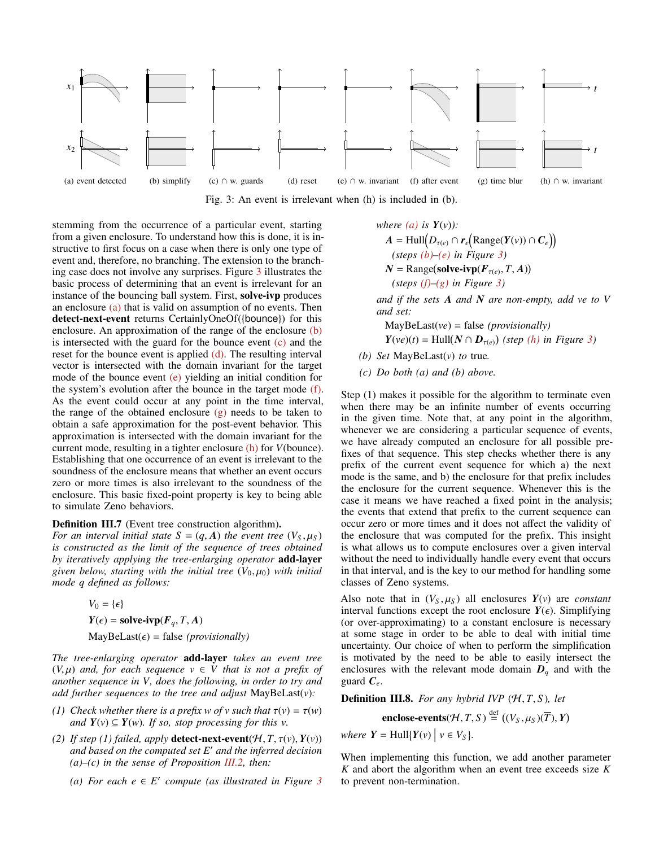<span id="page-4-4"></span><span id="page-4-3"></span><span id="page-4-2"></span>

<span id="page-4-6"></span><span id="page-4-5"></span>Fig. 3: An event is irrelevant when (h) is included in (b).

stemming from the occurrence of a particular event, starting from a given enclosure. To understand how this is done, it is instructive to first focus on a case when there is only one type of event and, therefore, no branching. The extension to the branching case does not involve any surprises. Figure [3](#page-4-2) illustrates the basic process of determining that an event is irrelevant for an instance of the bouncing ball system. First, solve-ivp produces an enclosure [\(a\)](#page-4-3) that is valid on assumption of no events. Then detect-next-event returns CertainlyOneOf({bounce}) for this enclosure. An approximation of the range of the enclosure [\(b\)](#page-4-4) is intersected with the guard for the bounce event [\(c\)](#page-4-5) and the reset for the bounce event is applied  $(d)$ . The resulting interval vector is intersected with the domain invariant for the target mode of the bounce event [\(e\)](#page-4-7) yielding an initial condition for the system's evolution after the bounce in the target mode [\(f\).](#page-4-8) As the event could occur at any point in the time interval, the range of the obtained enclosure [\(g\)](#page-4-9) needs to be taken to obtain a safe approximation for the post-event behavior. This approximation is intersected with the domain invariant for the current mode, resulting in a tighter enclosure [\(h\)](#page-4-10) for *V*(bounce). Establishing that one occurrence of an event is irrelevant to the soundness of the enclosure means that whether an event occurs zero or more times is also irrelevant to the soundness of the enclosure. This basic fixed-point property is key to being able to simulate Zeno behaviors.

## <span id="page-4-1"></span>Definition III.7 (Event tree construction algorithm).

*For an interval initial state*  $S = (q, A)$  *the event tree*  $(V_S, \mu_S)$ *is constructed as the limit of the sequence of trees obtained by iteratively applying the tree-enlarging operator* add-layer *given below, starting with the initial tree*  $(V_0, \mu_0)$  *with initial mode q defined as follows:*

$$
V_0 = \{\epsilon\}
$$
  

$$
Y(\epsilon) = \textbf{solve-ivp}(F_q, T, A)
$$
  
MayBelast( $\epsilon$ ) = false (provisionally)

*The tree-enlarging operator* add-layer *takes an event tree*  $(V, \mu)$  *and, for each sequence*  $v \in V$  *that is not a prefix of another sequence in V, does the following, in order to try and add further sequences to the tree and adjust* MayBeLast(*v*)*:*

- *(1) Check whether there is a prefix w of v such that*  $\tau(v) = \tau(w)$ *and*  $Y$ (*v*) ⊆  $Y$ (*w*)*. If so, stop processing for this v.*
- *(2) If step (1) failed, apply detect-next-event* $(H, T, \tau(v), Y(v))$ *and based on the computed set E*<sup>0</sup> *and the inferred decision (a)–(c) in the sense of Proposition [III.2,](#page-3-2) then:*
	- *(a) For each e* ∈ *E' compute* (*as illustrated in Figure [3](#page-4-2)*

<span id="page-4-10"></span><span id="page-4-9"></span><span id="page-4-8"></span><span id="page-4-7"></span>where (a) is 
$$
Y(v)
$$
):  
\n
$$
A = Hull(D_{\tau(e)} \cap r_e \big( Range(Y(v)) \cap C_e \big))
$$
\n
$$
(steps (b) - (e) in Figure 3)
$$
\n
$$
N = Range(solve - ivp(F_{\tau(e)}, T, A))
$$
\n
$$
(steps (f) - (g) in Figure 3)
$$

*and if the sets A and N are non-empty, add ve to V and set:*

MayBeLast(*ve*) = false *(provisionally)*  $Y(ve)(t) = \text{Hull}(N \cap D_{\tau(e)})$  (step *[\(h\)](#page-4-10) in Figure [3\)](#page-4-2)* 

*(b) Set* MayBeLast(*v*) *to* true*.*

*(c) Do both (a) and (b) above.*

Step (1) makes it possible for the algorithm to terminate even when there may be an infinite number of events occurring in the given time. Note that, at any point in the algorithm, whenever we are considering a particular sequence of events, we have already computed an enclosure for all possible prefixes of that sequence. This step checks whether there is any prefix of the current event sequence for which a) the next mode is the same, and b) the enclosure for that prefix includes the enclosure for the current sequence. Whenever this is the case it means we have reached a fixed point in the analysis; the events that extend that prefix to the current sequence can occur zero or more times and it does not affect the validity of the enclosure that was computed for the prefix. This insight is what allows us to compute enclosures over a given interval without the need to individually handle every event that occurs in that interval, and is the key to our method for handling some classes of Zeno systems.

Also note that in  $(V_S, \mu_S)$  all enclosures  $Y(v)$  are *constant* interval functions except the root enclosure  $Y(\epsilon)$ . Simplifying (or over-approximating) to a constant enclosure is necessary at some stage in order to be able to deal with initial time uncertainty. Our choice of when to perform the simplification is motivated by the need to be able to easily intersect the enclosures with the relevant mode domain  $D_q$  and with the guard  $C_e$ .

<span id="page-4-0"></span>Definition III.8. *For any hybrid IVP* (H, *<sup>T</sup>*, *<sup>S</sup>* )*, let*

enclose-events( $H, T, S$ )  $\stackrel{\text{def}}{=} ((V_S, \mu_S)(\overline{T}), Y)$ 

*where*  $Y = \text{Hull}\{Y(v) \mid v \in V_S\}$ .

When implementing this function, we add another parameter *K* and abort the algorithm when an event tree exceeds size *K* to prevent non-termination.